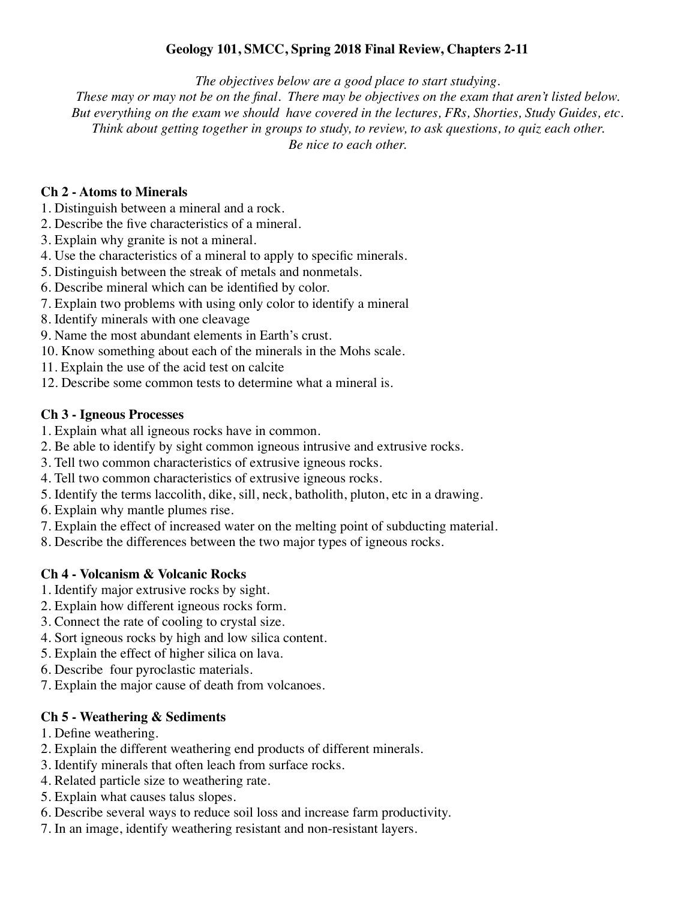# **Geology 101, SMCC, Spring 2018 Final Review, Chapters 2-11**

*The objectives below are a good place to start studying.* 

*These may or may not be on the final. There may be objectives on the exam that aren't listed below. But everything on the exam we should have covered in the lectures, FRs, Shorties, Study Guides, etc. Think about getting together in groups to study, to review, to ask questions, to quiz each other. Be nice to each other.*

#### **Ch 2 - Atoms to Minerals**

- 1. Distinguish between a mineral and a rock.
- 2. Describe the five characteristics of a mineral.
- 3. Explain why granite is not a mineral.
- 4. Use the characteristics of a mineral to apply to specific minerals.
- 5. Distinguish between the streak of metals and nonmetals.
- 6. Describe mineral which can be identified by color.
- 7. Explain two problems with using only color to identify a mineral
- 8. Identify minerals with one cleavage
- 9. Name the most abundant elements in Earth's crust.
- 10. Know something about each of the minerals in the Mohs scale.
- 11. Explain the use of the acid test on calcite
- 12. Describe some common tests to determine what a mineral is.

#### **Ch 3 - Igneous Processes**

- 1. Explain what all igneous rocks have in common.
- 2. Be able to identify by sight common igneous intrusive and extrusive rocks.
- 3. Tell two common characteristics of extrusive igneous rocks.
- 4. Tell two common characteristics of extrusive igneous rocks.
- 5. Identify the terms laccolith, dike, sill, neck, batholith, pluton, etc in a drawing.
- 6. Explain why mantle plumes rise.
- 7. Explain the effect of increased water on the melting point of subducting material.
- 8. Describe the differences between the two major types of igneous rocks.

## **Ch 4 - Volcanism & Volcanic Rocks**

- 1. Identify major extrusive rocks by sight.
- 2. Explain how different igneous rocks form.
- 3. Connect the rate of cooling to crystal size.
- 4. Sort igneous rocks by high and low silica content.
- 5. Explain the effect of higher silica on lava.
- 6. Describe four pyroclastic materials.
- 7. Explain the major cause of death from volcanoes.

## **Ch 5 - Weathering & Sediments**

- 1. Define weathering.
- 2. Explain the different weathering end products of different minerals.
- 3. Identify minerals that often leach from surface rocks.
- 4. Related particle size to weathering rate.
- 5. Explain what causes talus slopes.
- 6. Describe several ways to reduce soil loss and increase farm productivity.
- 7. In an image, identify weathering resistant and non-resistant layers.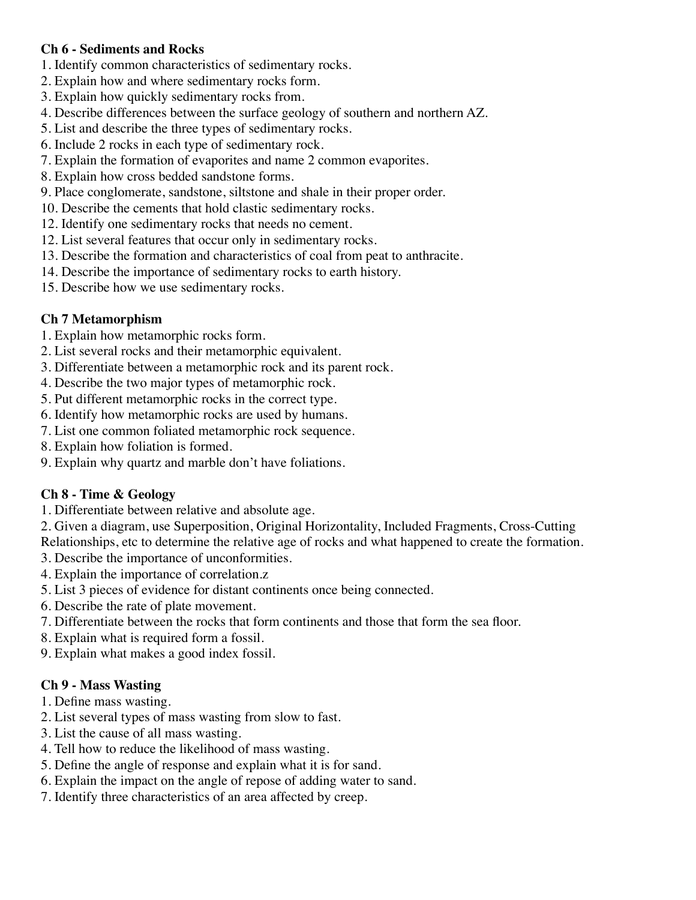# **Ch 6 - Sediments and Rocks**

- 1. Identify common characteristics of sedimentary rocks.
- 2. Explain how and where sedimentary rocks form.
- 3. Explain how quickly sedimentary rocks from.
- 4. Describe differences between the surface geology of southern and northern AZ.
- 5. List and describe the three types of sedimentary rocks.
- 6. Include 2 rocks in each type of sedimentary rock.
- 7. Explain the formation of evaporites and name 2 common evaporites.
- 8. Explain how cross bedded sandstone forms.
- 9. Place conglomerate, sandstone, siltstone and shale in their proper order.
- 10. Describe the cements that hold clastic sedimentary rocks.
- 12. Identify one sedimentary rocks that needs no cement.
- 12. List several features that occur only in sedimentary rocks.
- 13. Describe the formation and characteristics of coal from peat to anthracite.
- 14. Describe the importance of sedimentary rocks to earth history.
- 15. Describe how we use sedimentary rocks.

## **Ch 7 Metamorphism**

- 1. Explain how metamorphic rocks form.
- 2. List several rocks and their metamorphic equivalent.
- 3. Differentiate between a metamorphic rock and its parent rock.
- 4. Describe the two major types of metamorphic rock.
- 5. Put different metamorphic rocks in the correct type.
- 6. Identify how metamorphic rocks are used by humans.
- 7. List one common foliated metamorphic rock sequence.
- 8. Explain how foliation is formed.
- 9. Explain why quartz and marble don't have foliations.

## **Ch 8 - Time & Geology**

- 1. Differentiate between relative and absolute age.
- 2. Given a diagram, use Superposition, Original Horizontality, Included Fragments, Cross-Cutting
- Relationships, etc to determine the relative age of rocks and what happened to create the formation.
- 3. Describe the importance of unconformities.
- 4. Explain the importance of correlation.z
- 5. List 3 pieces of evidence for distant continents once being connected.
- 6. Describe the rate of plate movement.
- 7. Differentiate between the rocks that form continents and those that form the sea floor.
- 8. Explain what is required form a fossil.
- 9. Explain what makes a good index fossil.

## **Ch 9 - Mass Wasting**

- 1. Define mass wasting.
- 2. List several types of mass wasting from slow to fast.
- 3. List the cause of all mass wasting.
- 4. Tell how to reduce the likelihood of mass wasting.
- 5. Define the angle of response and explain what it is for sand.
- 6. Explain the impact on the angle of repose of adding water to sand.
- 7. Identify three characteristics of an area affected by creep.